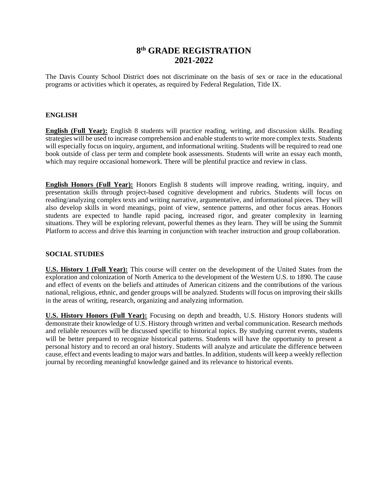# **8 th GRADE REGISTRATION 2021-2022**

The Davis County School District does not discriminate on the basis of sex or race in the educational programs or activities which it operates, as required by Federal Regulation, Title IX.

#### **ENGLISH**

**English (Full Year):** English 8 students will practice reading, writing, and discussion skills. Reading strategies will be used to increase comprehension and enable students to write more complex texts. Students will especially focus on inquiry, argument, and informational writing. Students will be required to read one book outside of class per term and complete book assessments. Students will write an essay each month, which may require occasional homework. There will be plentiful practice and review in class.

**English Honors (Full Year):** Honors English 8 students will improve reading, writing, inquiry, and presentation skills through project-based cognitive development and rubrics. Students will focus on reading/analyzing complex texts and writing narrative, argumentative, and informational pieces. They will also develop skills in word meanings, point of view, sentence patterns, and other focus areas. Honors students are expected to handle rapid pacing, increased rigor, and greater complexity in learning situations. They will be exploring relevant, powerful themes as they learn. They will be using the Summit Platform to access and drive this learning in conjunction with teacher instruction and group collaboration.

#### **SOCIAL STUDIES**

**U.S. History 1 (Full Year):** This course will center on the development of the United States from the exploration and colonization of North America to the development of the Western U.S. to 1890. The cause and effect of events on the beliefs and attitudes of American citizens and the contributions of the various national, religious, ethnic, and gender groups will be analyzed. Students will focus on improving their skills in the areas of writing, research, organizing and analyzing information.

**U.S. History Honors (Full Year):** Focusing on depth and breadth, U.S. History Honors students will demonstrate their knowledge of U.S. History through written and verbal communication. Research methods and reliable resources will be discussed specific to historical topics. By studying current events, students will be better prepared to recognize historical patterns. Students will have the opportunity to present a personal history and to record an oral history. Students will analyze and articulate the difference between cause, effect and events leading to major wars and battles. In addition, students will keep a weekly reflection journal by recording meaningful knowledge gained and its relevance to historical events.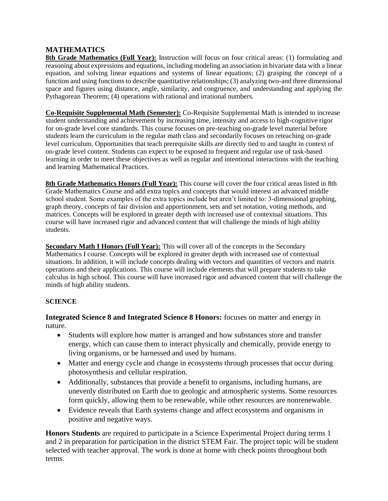## **MATHEMATICS**

**8th Grade Mathematics (Full Year):** Instruction will focus on four critical areas: (1) formulating and reasoning about expressions and equations, including modeling an association in bivariate data with a linear equation, and solving linear equations and systems of linear equations; (2) grasping the concept of a function and using functions to describe quantitative relationships; (3) analyzing two-and three dimensional space and figures using distance, angle, similarity, and congruence, and understanding and applying the Pythagorean Theorem; (4) operations with rational and irrational numbers.

**Co-Requisite Supplemental Math (Semester):** Co-Requisite Supplemental Math is intended to increase student understanding and achievement by increasing time, intensity and access to high-cognitive rigor for on-grade level core standards. This course focuses on pre-teaching on-grade level material before students learn the curriculum in the regular math class and secondarily focuses on reteaching on-grade level curriculum. Opportunities that teach prerequisite skills are directly tied to and taught in context of on-grade level content. Students can expect to be exposed to frequent and regular use of task-based learning in order to meet these objectives as well as regular and intentional interactions with the teaching and learning Mathematical Practices.

**8th Grade Mathematics Honors (Full Year):** This course will cover the four critical areas listed in 8th Grade Mathematics Course and add extra topics and concepts that would interest an advanced middle school student. Some examples of the extra topics include but aren't limited to: 3-dimensional graphing, graph theory, concepts of fair division and apportionment, sets and set notation, voting methods, and matrices. Concepts will be explored in greater depth with increased use of contextual situations. This course will have increased rigor and advanced content that will challenge the minds of high ability students.

**Secondary Math I Honors (Full Year):** This will cover all of the concepts in the Secondary Mathematics I course. Concepts will be explored in greater depth with increased use of contextual situations. In addition, it will include concepts dealing with vectors and quantities of vectors and matrix operations and their applications. This course will include elements that will prepare students to take calculus in high school. This course will have increased rigor and advanced content that will challenge the minds of high ability students.

## **SCIENCE**

**Integrated Science 8 and Integrated Science 8 Honors:** focuses on matter and energy in nature.

- Students will explore how matter is arranged and how substances store and transfer energy, which can cause them to interact physically and chemically, provide energy to living organisms, or be harnessed and used by humans.
- Matter and energy cycle and change in ecosystems through processes that occur during photosynthesis and cellular respiration.
- Additionally, substances that provide a benefit to organisms, including humans, are unevenly distributed on Earth due to geologic and atmospheric systems. Some resources form quickly, allowing them to be renewable, while other resources are nonrenewable.
- Evidence reveals that Earth systems change and affect ecosystems and organisms in positive and negative ways.

**Honors Students** are required to participate in a Science Experimental Project during terms 1 and 2 in preparation for participation in the district STEM Fair. The project topic will be student selected with teacher approval. The work is done at home with check points throughout both terms.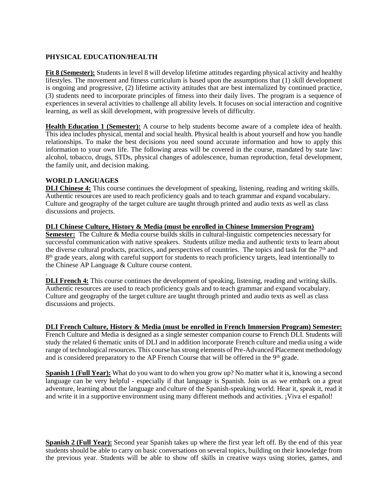### **PHYSICAL EDUCATION/HEALTH**

**Fit 8 (Semester):** Students in level 8 will develop lifetime attitudes regarding physical activity and healthy lifestyles. The movement and fitness curriculum is based upon the assumptions that (1) skill development is ongoing and progressive, (2) lifetime activity attitudes that are best internalized by continued practice, (3) students need to incorporate principles of fitness into their daily lives. The program is a sequence of experiences in several activities to challenge all ability levels. It focuses on social interaction and cognitive learning, as well as skill development, with progressive levels of difficulty.

**Health Education 1 (Semester):** A course to help students become aware of a complete idea of health. This idea includes physical, mental and social health. Physical health is about yourself and how you handle relationships. To make the best decisions you need sound accurate information and how to apply this information to your own life. The following areas will be covered in the course, mandated by state law: alcohol, tobacco, drugs, STDs, physical changes of adolescence, human reproduction, fetal development, the family unit, and decision making.

#### **WORLD LANGUAGES**

.

**DLI Chinese 4:** This course continues the development of speaking, listening, reading and writing skills. Authentic resources are used to reach proficiency goals and to teach grammar and expand vocabulary. Culture and geography of the target culture are taught through printed and audio texts as well as class discussions and projects.

#### **DLI Chinese Culture, History & Media (must be enrolled in Chinese Immersion Program)**

**Semester:** The Culture & Media course builds skills in cultural-linguistic competencies necessary for successful communication with native speakers. Students utilize media and authentic texts to learn about the diverse cultural products, practices, and perspectives of countries. The topics and task for the  $7<sup>th</sup>$  and 8<sup>th</sup> grade years, along with careful support for students to reach proficiency targets, lead intentionally to the Chinese AP Language & Culture course content.

**DLI French 4:** This course continues the development of speaking, listening, reading and writing skills. Authentic resources are used to reach proficiency goals and to teach grammar and expand vocabulary. Culture and geography of the target culture are taught through printed and audio texts as well as class discussions and projects.

#### **DLI French Culture, History & Media (must be enrolled in French Immersion Program) Semester:**

French Culture and Media is designed as a single semester companion course to French DLI. Students will study the related 6 thematic units of DLI and in addition incorporate French culture and media using a wide range of technological resources. This course has strong elements of Pre-Advanced Placement methodology and is considered preparatory to the AP French Course that will be offered in the 9<sup>th</sup> grade.

**Spanish 1 (Full Year):** What do you want to do when you grow up? No matter what it is, knowing a second language can be very helpful - especially if that language is Spanish. Join us as we embark on a great adventure, learning about the language and culture of the Spanish-speaking world. Hear it, speak it, read it and write it in a supportive environment using many different methods and activities. ¡Viva el español!

**Spanish 2 (Full Year):** Second year Spanish takes up where the first year left off. By the end of this year students should be able to carry on basic conversations on several topics, building on their knowledge from the previous year. Students will be able to show off skills in creative ways using stories, games, and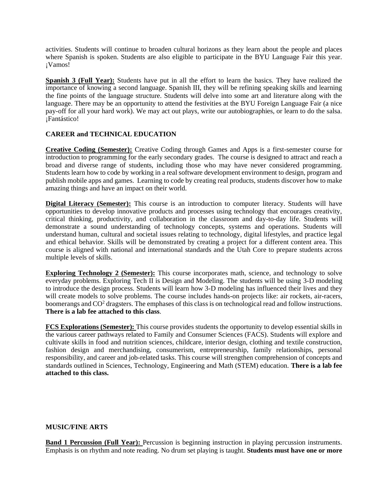activities. Students will continue to broaden cultural horizons as they learn about the people and places where Spanish is spoken. Students are also eligible to participate in the BYU Language Fair this year. ¡Vamos!

**Spanish 3 (Full Year):** Students have put in all the effort to learn the basics. They have realized the importance of knowing a second language. Spanish III, they will be refining speaking skills and learning the fine points of the language structure. Students will delve into some art and literature along with the language. There may be an opportunity to attend the festivities at the BYU Foreign Language Fair (a nice pay-off for all your hard work). We may act out plays, write our autobiographies, or learn to do the salsa. ¡Fantástico!

## **CAREER and TECHNICAL EDUCATION**

**Creative Coding (Semester):** Creative Coding through Games and Apps is a first-semester course for introduction to programming for the early secondary grades. The course is designed to attract and reach a broad and diverse range of students, including those who may have never considered programming. Students learn how to code by working in a real software development environment to design, program and publish mobile apps and games. Learning to code by creating real products, students discover how to make amazing things and have an impact on their world.

**Digital Literacy (Semester):** This course is an introduction to computer literacy. Students will have opportunities to develop innovative products and processes using technology that encourages creativity, critical thinking, productivity, and collaboration in the classroom and day-to-day life. Students will demonstrate a sound understanding of technology concepts, systems and operations. Students will understand human, cultural and societal issues relating to technology, digital lifestyles, and practice legal and ethical behavior. Skills will be demonstrated by creating a project for a different content area. This course is aligned with national and international standards and the Utah Core to prepare students across multiple levels of skills.

**Exploring Technology 2 (Semester):** This course incorporates math, science, and technology to solve everyday problems. Exploring Tech II is Design and Modeling. The students will be using 3-D modeling to introduce the design process. Students will learn how 3-D modeling has influenced their lives and they will create models to solve problems. The course includes hands-on projects like: air rockets, air-racers, boomerangs and CO<sup>2</sup> dragsters. The emphases of this class is on technological read and follow instructions. **There is a lab fee attached to this class**.

**FCS Explorations (Semester):** This course provides students the opportunity to develop essential skills in the various career pathways related to Family and Consumer Sciences (FACS). Students will explore and cultivate skills in food and nutrition sciences, childcare, interior design, clothing and textile construction, fashion design and merchandising, consumerism, entrepreneurship, family relationships, personal responsibility, and career and job-related tasks. This course will strengthen comprehension of concepts and standards outlined in Sciences, Technology, Engineering and Math (STEM) education. **There is a lab fee attached to this class.**

#### **MUSIC/FINE ARTS**

**Band 1 Percussion (Full Year):** Percussion is beginning instruction in playing percussion instruments. Emphasis is on rhythm and note reading. No drum set playing is taught. **Students must have one or more**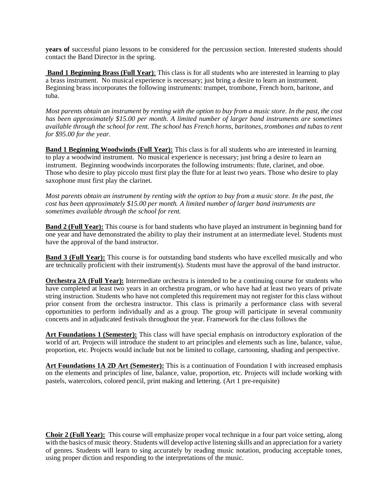**years of** successful piano lessons to be considered for the percussion section. Interested students should contact the Band Director in the spring.

**Band 1 Beginning Brass (Full Year)**: This class is for all students who are interested in learning to play a brass instrument. No musical experience is necessary; just bring a desire to learn an instrument. Beginning brass incorporates the following instruments: trumpet, trombone, French horn, baritone, and tuba.

*Most parents obtain an instrument by renting with the option to buy from a music store. In the past, the cost has been approximately \$15.00 per month. A limited number of larger band instruments are sometimes available through the school for rent. The school has French horns, baritones, trombones and tubas to rent for \$95.00 for the year.*

**Band 1 Beginning Woodwinds (Full Year):** This class is for all students who are interested in learning to play a woodwind instrument. No musical experience is necessary; just bring a desire to learn an instrument. Beginning woodwinds incorporates the following instruments: flute, clarinet, and oboe. Those who desire to play piccolo must first play the flute for at least two years. Those who desire to play saxophone must first play the clarinet.

*Most parents obtain an instrument by renting with the option to buy from a music store. In the past, the cost has been approximately \$15.00 per month. A limited number of larger band instruments are sometimes available through the school for rent.* 

**Band 2 (Full Year):** This course is for band students who have played an instrument in beginning band for one year and have demonstrated the ability to play their instrument at an intermediate level. Students must have the approval of the band instructor.

**Band 3 (Full Year):** This course is for outstanding band students who have excelled musically and who are technically proficient with their instrument(s). Students must have the approval of the band instructor.

**Orchestra 2A (Full Year):** Intermediate orchestra is intended to be a continuing course for students who have completed at least two years in an orchestra program, or who have had at least two years of private string instruction. Students who have not completed this requirement may not register for this class without prior consent from the orchestra instructor. This class is primarily a performance class with several opportunities to perform individually and as a group. The group will participate in several community concerts and in adjudicated festivals throughout the year. Framework for the class follows the

**Art Foundations 1 (Semester):** This class will have special emphasis on introductory exploration of the world of art. Projects will introduce the student to art principles and elements such as line, balance, value, proportion, etc. Projects would include but not be limited to collage, cartooning, shading and perspective.

**Art Foundations 1A 2D Art (Semester):** This is a continuation of Foundation I with increased emphasis on the elements and principles of line, balance, value, proportion, etc. Projects will include working with pastels, watercolors, colored pencil, print making and lettering. (Art 1 pre-requisite)

**Choir 2 (Full Year):** This course will emphasize proper vocal technique in a four part voice setting, along with the basics of music theory. Students will develop active listening skills and an appreciation for a variety of genres. Students will learn to sing accurately by reading music notation, producing acceptable tones, using proper diction and responding to the interpretations of the music.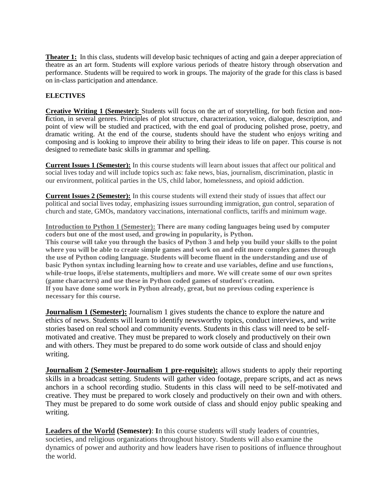**Theater 1:** In this class, students will develop basic techniques of acting and gain a deeper appreciation of theatre as an art form. Students will explore various periods of theatre history through observation and performance. Students will be required to work in groups. The majority of the grade for this class is based on in-class participation and attendance.

## **ELECTIVES**

**Creative Writing 1 (Semester):** Students will focus on the art of storytelling, for both fiction and non**f**iction, in several genres. Principles of plot structure, characterization, voice, dialogue, description, and point of view will be studied and practiced, with the end goal of producing polished prose, poetry, and dramatic writing. At the end of the course, students should have the student who enjoys writing and composing and is looking to improve their ability to bring their ideas to life on paper. This course is not designed to remediate basic skills in grammar and spelling.

**Current Issues 1 (Semester):** In this course students will learn about issues that affect our political and social lives today and will include topics such as: fake news, bias, journalism, discrimination, plastic in our environment, political parties in the US, child labor, homelessness, and opioid addiction.

**Current Issues 2 (Semester):** In this course students will extend their study of issues that affect our political and social lives today, emphasizing issues surrounding immigration, gun control, separation of church and state, GMOs, mandatory vaccinations, international conflicts, tariffs and minimum wage.

**Introduction to Python 1 (Semester): There are many coding languages being used by computer coders but one of the most used, and growing in popularity, is Python.**

**This course will take you through the basics of Python 3 and help you build your skills to the point where you will be able to create simple games and work on and edit more complex games through the use of Python coding language. Students will become fluent in the understanding and use of basic Python syntax including learning how to create and use variables, define and use functions, while-true loops, if/else statements, multipliers and more. We will create some of our own sprites (game characters) and use these in Python coded games of student's creation. If you have done some work in Python already, great, but no previous coding experience is** 

**necessary for this course.**

**Journalism 1 (Semester):** Journalism 1 gives students the chance to explore the nature and ethics of news. Students will learn to identify newsworthy topics, conduct interviews, and write stories based on real school and community events. Students in this class will need to be selfmotivated and creative. They must be prepared to work closely and productively on their own and with others. They must be prepared to do some work outside of class and should enjoy writing.

**Journalism 2 (Semester-Journalism 1 pre-requisite):** allows students to apply their reporting skills in a broadcast setting. Students will gather video footage, prepare scripts, and act as news anchors in a school recording studio. Students in this class will need to be self-motivated and creative. They must be prepared to work closely and productively on their own and with others. They must be prepared to do some work outside of class and should enjoy public speaking and writing.

**Leaders of the World (Semester)**: **I**n this course students will study leaders of countries, societies, and religious organizations throughout history. Students will also examine the dynamics of power and authority and how leaders have risen to positions of influence throughout the world.